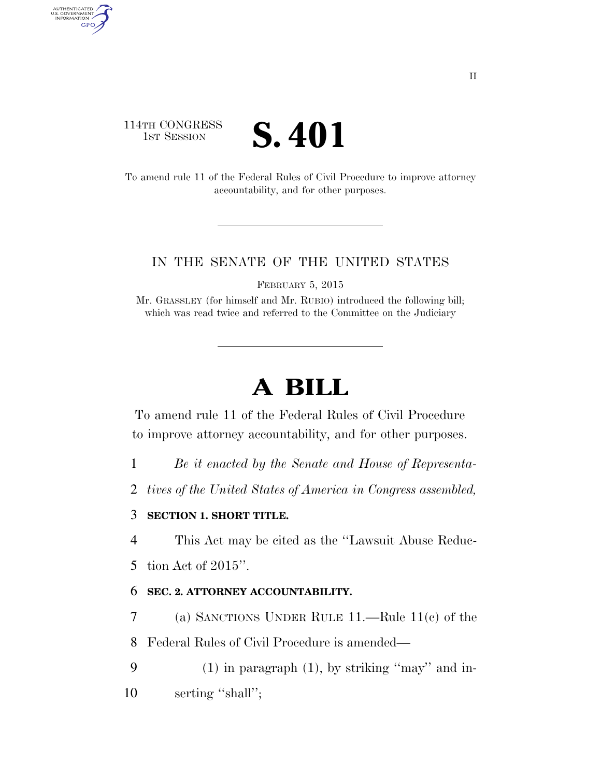# 114TH CONGRESS **IST SESSION S. 401**

AUTHENTICATED<br>U.S. GOVERNMENT<br>INFORMATION GPO

> To amend rule 11 of the Federal Rules of Civil Procedure to improve attorney accountability, and for other purposes.

### IN THE SENATE OF THE UNITED STATES

FEBRUARY 5, 2015

Mr. GRASSLEY (for himself and Mr. RUBIO) introduced the following bill; which was read twice and referred to the Committee on the Judiciary

# **A BILL**

To amend rule 11 of the Federal Rules of Civil Procedure to improve attorney accountability, and for other purposes.

1 *Be it enacted by the Senate and House of Representa-*

2 *tives of the United States of America in Congress assembled,* 

## 3 **SECTION 1. SHORT TITLE.**

4 This Act may be cited as the ''Lawsuit Abuse Reduc-

5 tion Act of 2015''.

### 6 **SEC. 2. ATTORNEY ACCOUNTABILITY.**

7 (a) SANCTIONS UNDER RULE 11.—Rule 11(c) of the

8 Federal Rules of Civil Procedure is amended—

9 (1) in paragraph (1), by striking ''may'' and in-10 serting "shall";